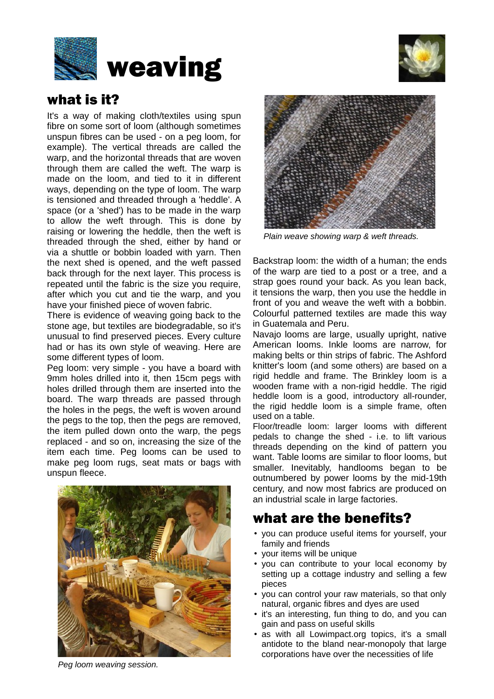



### what is it?

It's a way of making cloth/textiles using spun fibre on some sort of loom (although sometimes unspun fibres can be used - on a peg loom, for example). The vertical threads are called the warp, and the horizontal threads that are woven through them are called the weft. The warp is made on the loom, and tied to it in different ways, depending on the type of loom. The warp is tensioned and threaded through a 'heddle'. A space (or a 'shed') has to be made in the warp to allow the weft through. This is done by raising or lowering the heddle, then the weft is threaded through the shed, either by hand or via a shuttle or bobbin loaded with yarn. Then the next shed is opened, and the weft passed back through for the next layer. This process is repeated until the fabric is the size you require, after which you cut and tie the warp, and you have your finished piece of woven fabric.

There is evidence of weaving going back to the stone age, but textiles are biodegradable, so it's unusual to find preserved pieces. Every culture had or has its own style of weaving. Here are some different types of loom.

Peg loom: very simple - you have a board with 9mm holes drilled into it, then 15cm pegs with holes drilled through them are inserted into the board. The warp threads are passed through the holes in the pegs, the weft is woven around the pegs to the top, then the pegs are removed, the item pulled down onto the warp, the pegs replaced - and so on, increasing the size of the item each time. Peg looms can be used to make peg loom rugs, seat mats or bags with unspun fleece.



*Peg loom weaving session.*



*Plain weave showing warp & weft threads.*

Backstrap loom: the width of a human; the ends of the warp are tied to a post or a tree, and a strap goes round your back. As you lean back, it tensions the warp, then you use the heddle in front of you and weave the weft with a bobbin. Colourful patterned textiles are made this way in Guatemala and Peru.

Navajo looms are large, usually upright, native American looms. Inkle looms are narrow, for making belts or thin strips of fabric. The Ashford knitter's loom (and some others) are based on a rigid heddle and frame. The Brinkley loom is a wooden frame with a non-rigid heddle. The rigid heddle loom is a good, introductory all-rounder, the rigid heddle loom is a simple frame, often used on a table.

Floor/treadle loom: larger looms with different pedals to change the shed - i.e. to lift various threads depending on the kind of pattern you want. Table looms are similar to floor looms, but smaller. Inevitably, handlooms began to be outnumbered by power looms by the mid-19th century, and now most fabrics are produced on an industrial scale in large factories.

## what are the benefits?

- you can produce useful items for yourself, your family and friends
- your items will be unique
- you can contribute to your local economy by setting up a cottage industry and selling a few pieces
- you can control your raw materials, so that only natural, organic fibres and dyes are used
- it's an interesting, fun thing to do, and you can gain and pass on useful skills
- as with all Lowimpact.org topics, it's a small antidote to the bland near-monopoly that large corporations have over the necessities of life